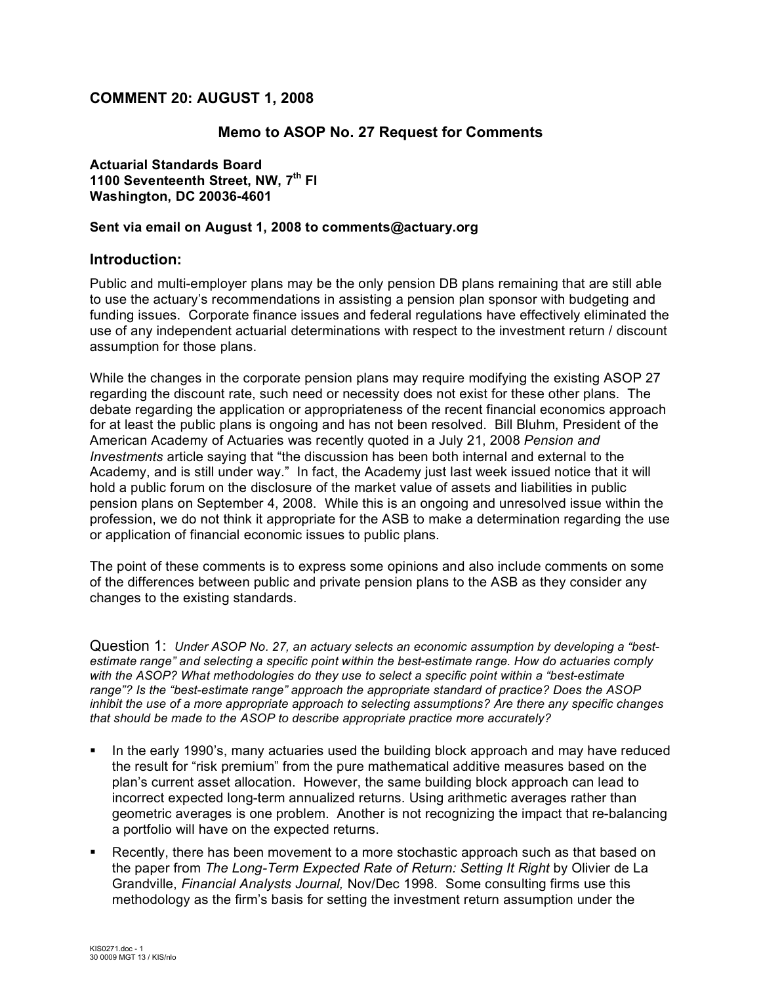# **COMMENT 20: AUGUST 1, 2008**

# **Memo to ASOP No. 27 Request for Comments**

**Actuarial Standards Board 1100 Seventeenth Street, NW, 7th Fl Washington, DC 20036-4601**

### **Sent via email on August 1, 2008 to comments@actuary.org**

## **Introduction:**

Public and multi-employer plans may be the only pension DB plans remaining that are still able to use the actuary's recommendations in assisting a pension plan sponsor with budgeting and funding issues. Corporate finance issues and federal regulations have effectively eliminated the use of any independent actuarial determinations with respect to the investment return / discount assumption for those plans.

While the changes in the corporate pension plans may require modifying the existing ASOP 27 regarding the discount rate, such need or necessity does not exist for these other plans. The debate regarding the application or appropriateness of the recent financial economics approach for at least the public plans is ongoing and has not been resolved. Bill Bluhm, President of the American Academy of Actuaries was recently quoted in a July 21, 2008 *Pension and Investments* article saying that "the discussion has been both internal and external to the Academy, and is still under way." In fact, the Academy just last week issued notice that it will hold a public forum on the disclosure of the market value of assets and liabilities in public pension plans on September 4, 2008. While this is an ongoing and unresolved issue within the profession, we do not think it appropriate for the ASB to make a determination regarding the use or application of financial economic issues to public plans.

The point of these comments is to express some opinions and also include comments on some of the differences between public and private pension plans to the ASB as they consider any changes to the existing standards.

Question 1: *Under ASOP No. 27, an actuary selects an economic assumption by developing a "bestestimate range" and selecting a specific point within the best-estimate range. How do actuaries comply with the ASOP? What methodologies do they use to select a specific point within a "best-estimate range"? Is the "best-estimate range" approach the appropriate standard of practice? Does the ASOP inhibit the use of a more appropriate approach to selecting assumptions? Are there any specific changes that should be made to the ASOP to describe appropriate practice more accurately?*

- In the early 1990's, many actuaries used the building block approach and may have reduced the result for "risk premium" from the pure mathematical additive measures based on the plan's current asset allocation. However, the same building block approach can lead to incorrect expected long-term annualized returns. Using arithmetic averages rather than geometric averages is one problem. Another is not recognizing the impact that re-balancing a portfolio will have on the expected returns.
- Recently, there has been movement to a more stochastic approach such as that based on the paper from *The Long-Term Expected Rate of Return: Setting It Right* by Olivier de La Grandville, *Financial Analysts Journal,* Nov/Dec 1998. Some consulting firms use this methodology as the firm's basis for setting the investment return assumption under the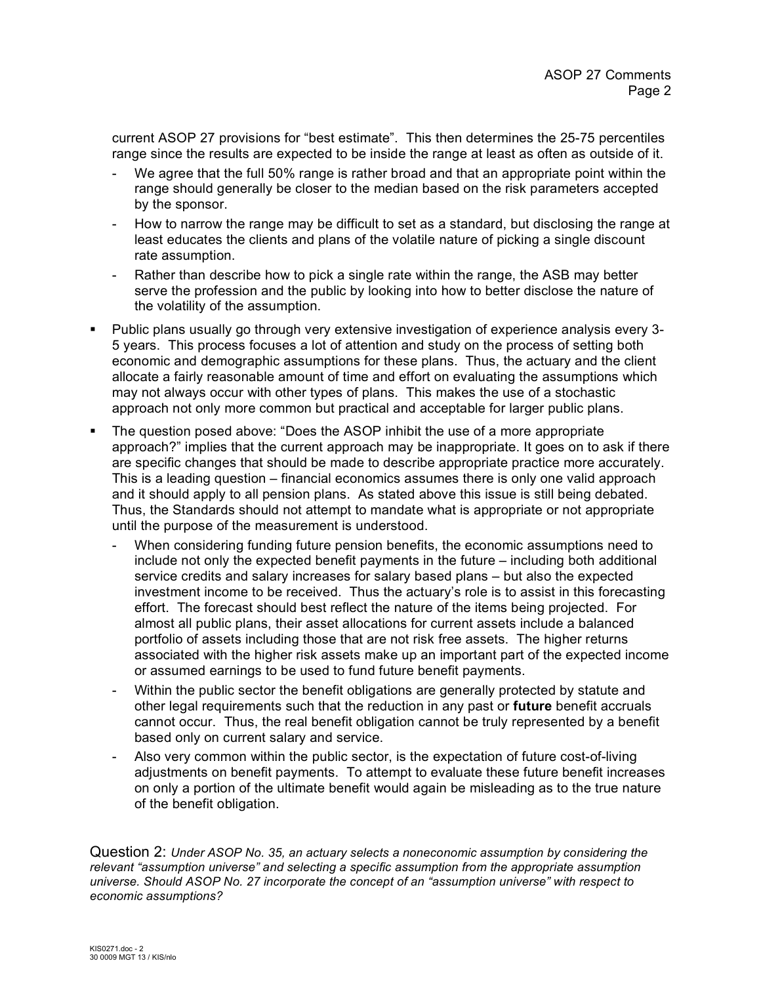current ASOP 27 provisions for "best estimate". This then determines the 25-75 percentiles range since the results are expected to be inside the range at least as often as outside of it.

- We agree that the full 50% range is rather broad and that an appropriate point within the range should generally be closer to the median based on the risk parameters accepted by the sponsor.
- How to narrow the range may be difficult to set as a standard, but disclosing the range at least educates the clients and plans of the volatile nature of picking a single discount rate assumption.
- Rather than describe how to pick a single rate within the range, the ASB may better serve the profession and the public by looking into how to better disclose the nature of the volatility of the assumption.
- Public plans usually go through very extensive investigation of experience analysis every 3- 5 years. This process focuses a lot of attention and study on the process of setting both economic and demographic assumptions for these plans. Thus, the actuary and the client allocate a fairly reasonable amount of time and effort on evaluating the assumptions which may not always occur with other types of plans. This makes the use of a stochastic approach not only more common but practical and acceptable for larger public plans.
- The question posed above: "Does the ASOP inhibit the use of a more appropriate approach?" implies that the current approach may be inappropriate. It goes on to ask if there are specific changes that should be made to describe appropriate practice more accurately. This is a leading question – financial economics assumes there is only one valid approach and it should apply to all pension plans. As stated above this issue is still being debated. Thus, the Standards should not attempt to mandate what is appropriate or not appropriate until the purpose of the measurement is understood.
	- When considering funding future pension benefits, the economic assumptions need to include not only the expected benefit payments in the future – including both additional service credits and salary increases for salary based plans – but also the expected investment income to be received. Thus the actuary's role is to assist in this forecasting effort. The forecast should best reflect the nature of the items being projected. For almost all public plans, their asset allocations for current assets include a balanced portfolio of assets including those that are not risk free assets. The higher returns associated with the higher risk assets make up an important part of the expected income or assumed earnings to be used to fund future benefit payments.
	- Within the public sector the benefit obligations are generally protected by statute and other legal requirements such that the reduction in any past or **future** benefit accruals cannot occur. Thus, the real benefit obligation cannot be truly represented by a benefit based only on current salary and service.
	- Also very common within the public sector, is the expectation of future cost-of-living adjustments on benefit payments. To attempt to evaluate these future benefit increases on only a portion of the ultimate benefit would again be misleading as to the true nature of the benefit obligation.

Question 2: *Under ASOP No. 35, an actuary selects a noneconomic assumption by considering the relevant "assumption universe" and selecting a specific assumption from the appropriate assumption universe. Should ASOP No. 27 incorporate the concept of an "assumption universe" with respect to economic assumptions?*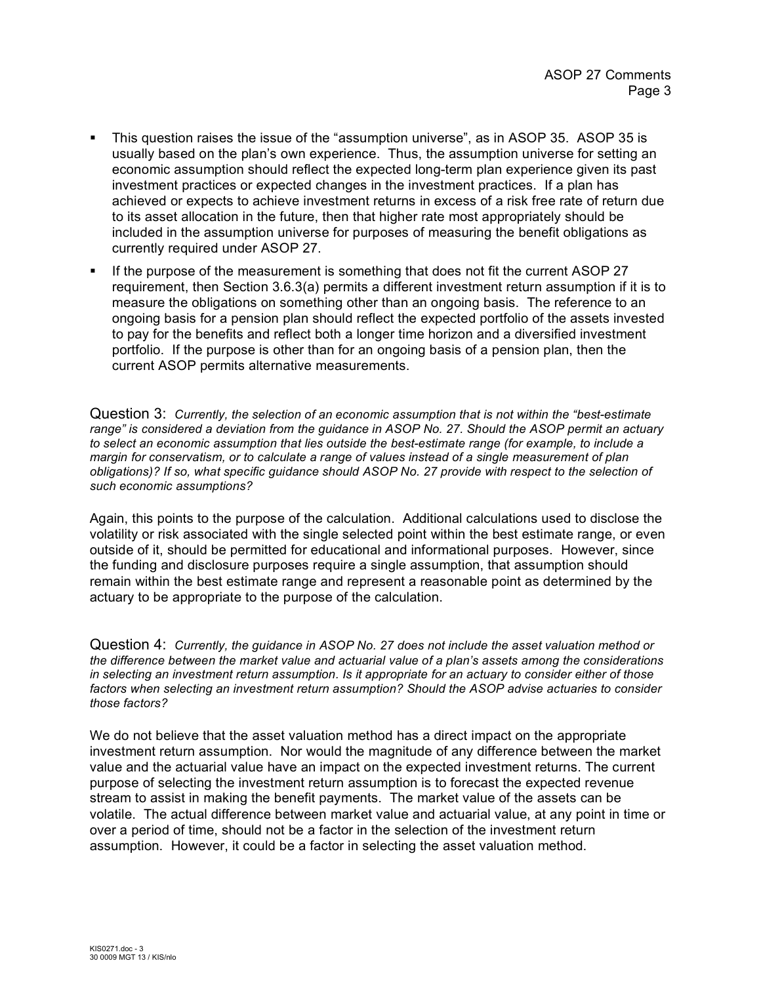- This question raises the issue of the "assumption universe", as in ASOP 35. ASOP 35 is usually based on the plan's own experience. Thus, the assumption universe for setting an economic assumption should reflect the expected long-term plan experience given its past investment practices or expected changes in the investment practices. If a plan has achieved or expects to achieve investment returns in excess of a risk free rate of return due to its asset allocation in the future, then that higher rate most appropriately should be included in the assumption universe for purposes of measuring the benefit obligations as currently required under ASOP 27.
- If the purpose of the measurement is something that does not fit the current ASOP 27 requirement, then Section 3.6.3(a) permits a different investment return assumption if it is to measure the obligations on something other than an ongoing basis. The reference to an ongoing basis for a pension plan should reflect the expected portfolio of the assets invested to pay for the benefits and reflect both a longer time horizon and a diversified investment portfolio. If the purpose is other than for an ongoing basis of a pension plan, then the current ASOP permits alternative measurements.

Question 3: *Currently, the selection of an economic assumption that is not within the "best-estimate range" is considered a deviation from the guidance in ASOP No. 27. Should the ASOP permit an actuary to select an economic assumption that lies outside the best-estimate range (for example, to include a margin for conservatism, or to calculate a range of values instead of a single measurement of plan obligations)? If so, what specific guidance should ASOP No. 27 provide with respect to the selection of such economic assumptions?*

Again, this points to the purpose of the calculation. Additional calculations used to disclose the volatility or risk associated with the single selected point within the best estimate range, or even outside of it, should be permitted for educational and informational purposes. However, since the funding and disclosure purposes require a single assumption, that assumption should remain within the best estimate range and represent a reasonable point as determined by the actuary to be appropriate to the purpose of the calculation.

Question 4: *Currently, the guidance in ASOP No. 27 does not include the asset valuation method or the difference between the market value and actuarial value of a plan's assets among the considerations in selecting an investment return assumption. Is it appropriate for an actuary to consider either of those factors when selecting an investment return assumption? Should the ASOP advise actuaries to consider those factors?*

We do not believe that the asset valuation method has a direct impact on the appropriate investment return assumption. Nor would the magnitude of any difference between the market value and the actuarial value have an impact on the expected investment returns. The current purpose of selecting the investment return assumption is to forecast the expected revenue stream to assist in making the benefit payments. The market value of the assets can be volatile. The actual difference between market value and actuarial value, at any point in time or over a period of time, should not be a factor in the selection of the investment return assumption. However, it could be a factor in selecting the asset valuation method.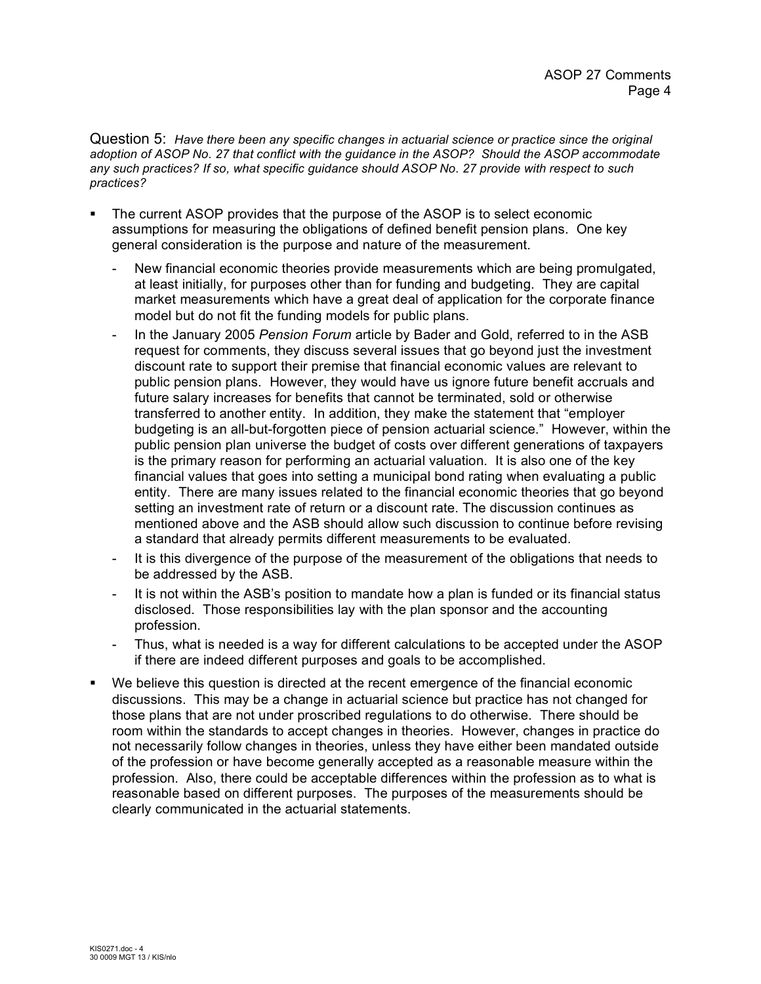Question 5: *Have there been any specific changes in actuarial science or practice since the original adoption of ASOP No. 27 that conflict with the guidance in the ASOP? Should the ASOP accommodate any such practices? If so, what specific guidance should ASOP No. 27 provide with respect to such practices?*

- The current ASOP provides that the purpose of the ASOP is to select economic assumptions for measuring the obligations of defined benefit pension plans. One key general consideration is the purpose and nature of the measurement.
	- New financial economic theories provide measurements which are being promulgated, at least initially, for purposes other than for funding and budgeting. They are capital market measurements which have a great deal of application for the corporate finance model but do not fit the funding models for public plans.
	- In the January 2005 *Pension Forum* article by Bader and Gold, referred to in the ASB request for comments, they discuss several issues that go beyond just the investment discount rate to support their premise that financial economic values are relevant to public pension plans. However, they would have us ignore future benefit accruals and future salary increases for benefits that cannot be terminated, sold or otherwise transferred to another entity. In addition, they make the statement that "employer budgeting is an all-but-forgotten piece of pension actuarial science." However, within the public pension plan universe the budget of costs over different generations of taxpayers is the primary reason for performing an actuarial valuation. It is also one of the key financial values that goes into setting a municipal bond rating when evaluating a public entity. There are many issues related to the financial economic theories that go beyond setting an investment rate of return or a discount rate. The discussion continues as mentioned above and the ASB should allow such discussion to continue before revising a standard that already permits different measurements to be evaluated.
	- It is this divergence of the purpose of the measurement of the obligations that needs to be addressed by the ASB.
	- It is not within the ASB's position to mandate how a plan is funded or its financial status disclosed. Those responsibilities lay with the plan sponsor and the accounting profession.
	- Thus, what is needed is a way for different calculations to be accepted under the ASOP if there are indeed different purposes and goals to be accomplished.
- We believe this question is directed at the recent emergence of the financial economic discussions. This may be a change in actuarial science but practice has not changed for those plans that are not under proscribed regulations to do otherwise. There should be room within the standards to accept changes in theories. However, changes in practice do not necessarily follow changes in theories, unless they have either been mandated outside of the profession or have become generally accepted as a reasonable measure within the profession. Also, there could be acceptable differences within the profession as to what is reasonable based on different purposes. The purposes of the measurements should be clearly communicated in the actuarial statements.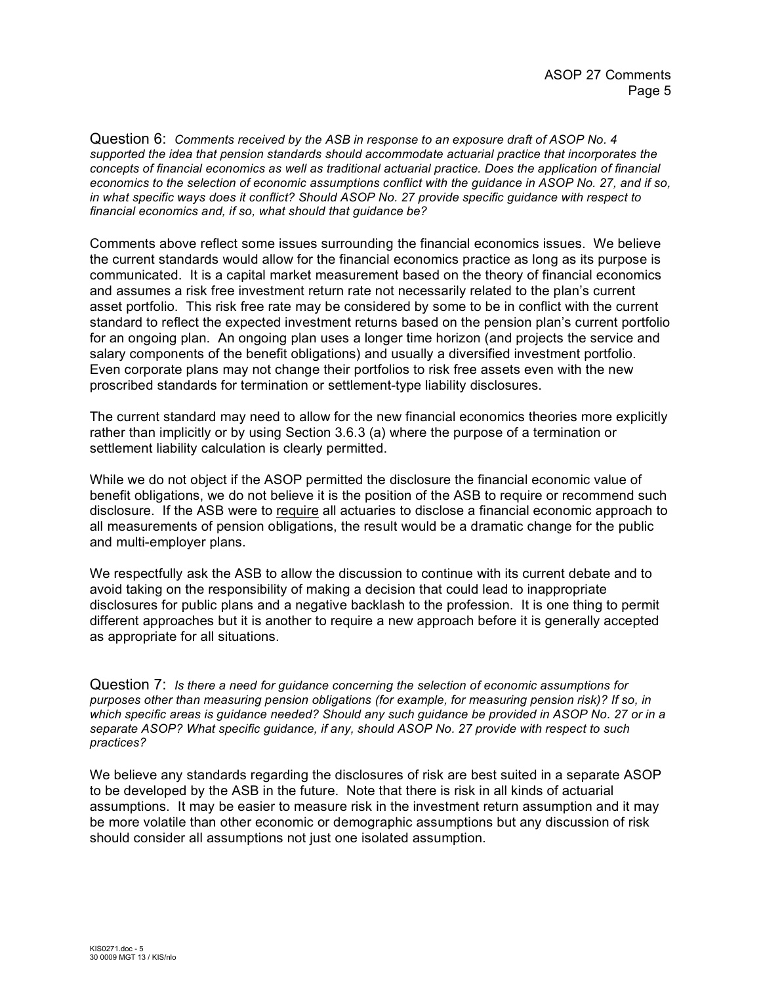Question 6: *Comments received by the ASB in response to an exposure draft of ASOP No. 4 supported the idea that pension standards should accommodate actuarial practice that incorporates the concepts of financial economics as well as traditional actuarial practice. Does the application of financial economics to the selection of economic assumptions conflict with the guidance in ASOP No. 27, and if so, in what specific ways does it conflict? Should ASOP No. 27 provide specific guidance with respect to financial economics and, if so, what should that guidance be?*

Comments above reflect some issues surrounding the financial economics issues. We believe the current standards would allow for the financial economics practice as long as its purpose is communicated. It is a capital market measurement based on the theory of financial economics and assumes a risk free investment return rate not necessarily related to the plan's current asset portfolio. This risk free rate may be considered by some to be in conflict with the current standard to reflect the expected investment returns based on the pension plan's current portfolio for an ongoing plan. An ongoing plan uses a longer time horizon (and projects the service and salary components of the benefit obligations) and usually a diversified investment portfolio. Even corporate plans may not change their portfolios to risk free assets even with the new proscribed standards for termination or settlement-type liability disclosures.

The current standard may need to allow for the new financial economics theories more explicitly rather than implicitly or by using Section 3.6.3 (a) where the purpose of a termination or settlement liability calculation is clearly permitted.

While we do not object if the ASOP permitted the disclosure the financial economic value of benefit obligations, we do not believe it is the position of the ASB to require or recommend such disclosure. If the ASB were to require all actuaries to disclose a financial economic approach to all measurements of pension obligations, the result would be a dramatic change for the public and multi-employer plans.

We respectfully ask the ASB to allow the discussion to continue with its current debate and to avoid taking on the responsibility of making a decision that could lead to inappropriate disclosures for public plans and a negative backlash to the profession. It is one thing to permit different approaches but it is another to require a new approach before it is generally accepted as appropriate for all situations.

Question 7: *Is there a need for guidance concerning the selection of economic assumptions for purposes other than measuring pension obligations (for example, for measuring pension risk)? If so, in which specific areas is guidance needed? Should any such guidance be provided in ASOP No. 27 or in a separate ASOP? What specific guidance, if any, should ASOP No. 27 provide with respect to such practices?*

We believe any standards regarding the disclosures of risk are best suited in a separate ASOP to be developed by the ASB in the future. Note that there is risk in all kinds of actuarial assumptions. It may be easier to measure risk in the investment return assumption and it may be more volatile than other economic or demographic assumptions but any discussion of risk should consider all assumptions not just one isolated assumption.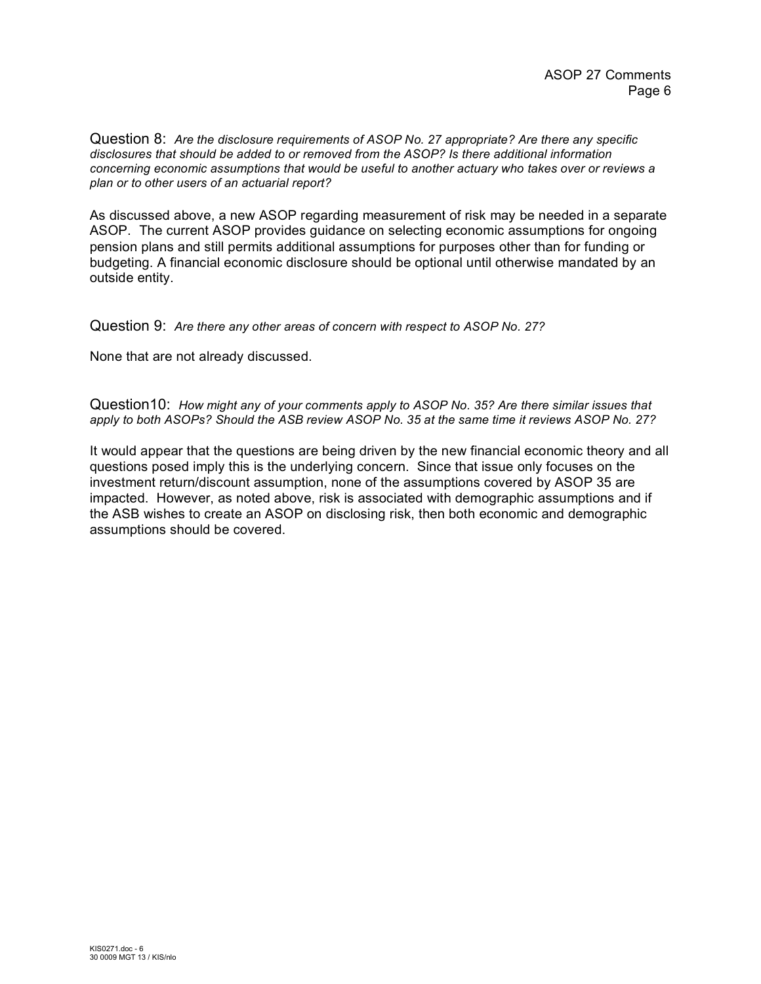Question 8: *Are the disclosure requirements of ASOP No. 27 appropriate? Are there any specific disclosures that should be added to or removed from the ASOP? Is there additional information concerning economic assumptions that would be useful to another actuary who takes over or reviews a plan or to other users of an actuarial report?*

As discussed above, a new ASOP regarding measurement of risk may be needed in a separate ASOP. The current ASOP provides guidance on selecting economic assumptions for ongoing pension plans and still permits additional assumptions for purposes other than for funding or budgeting. A financial economic disclosure should be optional until otherwise mandated by an outside entity.

Question 9: *Are there any other areas of concern with respect to ASOP No. 27?*

None that are not already discussed.

Question10: *How might any of your comments apply to ASOP No. 35? Are there similar issues that apply to both ASOPs? Should the ASB review ASOP No. 35 at the same time it reviews ASOP No. 27?*

It would appear that the questions are being driven by the new financial economic theory and all questions posed imply this is the underlying concern. Since that issue only focuses on the investment return/discount assumption, none of the assumptions covered by ASOP 35 are impacted. However, as noted above, risk is associated with demographic assumptions and if the ASB wishes to create an ASOP on disclosing risk, then both economic and demographic assumptions should be covered.